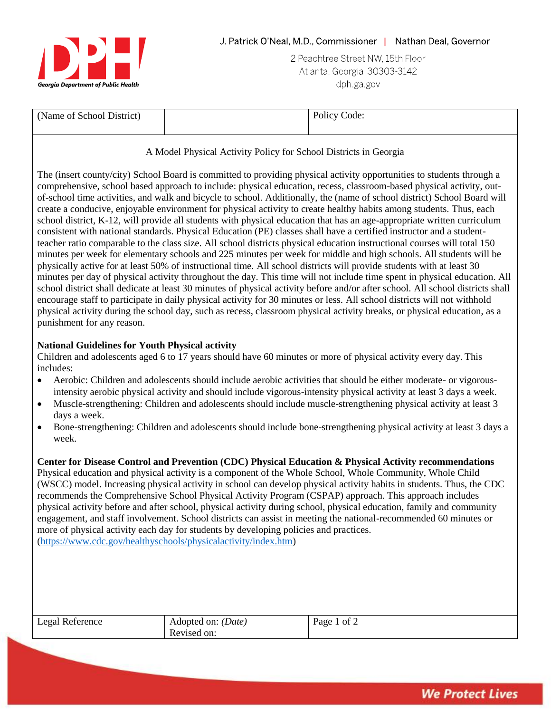

2 Peachtree Street NW, 15th Floor Atlanta, Georgia 30303-3142 dph ga gov

| (Name of School District) | Policy Code: |
|---------------------------|--------------|
|                           |              |

# A Model Physical Activity Policy for School Districts in Georgia

The (insert county/city) School Board is committed to providing physical activity opportunities to students through a comprehensive, school based approach to include: physical education, recess, classroom-based physical activity, outof-school time activities, and walk and bicycle to school. Additionally, the (name of school district) School Board will create a conducive, enjoyable environment for physical activity to create healthy habits among students. Thus, each school district, K-12, will provide all students with physical education that has an age-appropriate written curriculum consistent with national standards. Physical Education (PE) classes shall have a certified instructor and a studentteacher ratio comparable to the class size. All school districts physical education instructional courses will total 150 minutes per week for elementary schools and 225 minutes per week for middle and high schools. All students will be physically active for at least 50% of instructional time. All school districts will provide students with at least 30 minutes per day of physical activity throughout the day. This time will not include time spent in physical education. All school district shall dedicate at least 30 minutes of physical activity before and/or after school. All school districts shall encourage staff to participate in daily physical activity for 30 minutes or less. All school districts will not withhold physical activity during the school day, such as recess, classroom physical activity breaks, or physical education, as a punishment for any reason.

# **National Guidelines for Youth Physical activity**

Children and adolescents aged 6 to 17 years should have 60 minutes or more of physical activity every day. This includes:

- Aerobic: Children and adolescents should include aerobic activities that should be either moderate- or vigorousintensity aerobic physical activity and should include vigorous-intensity physical activity at least 3 days a week.
- Muscle-strengthening: Children and adolescents should include muscle-strengthening physical activity at least 3 days a week.
- Bone-strengthening: Children and adolescents should include bone-strengthening physical activity at least 3 days a week.

**Center for Disease Control and Prevention (CDC) Physical Education & Physical Activity recommendations** Physical education and physical activity is a component of the Whole School, Whole Community, Whole Child (WSCC) model. Increasing physical activity in school can develop physical activity habits in students. Thus, the CDC recommends the Comprehensive School Physical Activity Program (CSPAP) approach. This approach includes physical activity before and after school, physical activity during school, physical education, family and community engagement, and staff involvement. School districts can assist in meeting the national-recommended 60 minutes or more of physical activity each day for students by developing policies and practices. [\(https://www.cdc.gov/healthyschools/physicalactivity/index.htm\)](https://www.cdc.gov/healthyschools/physicalactivity/index.htm)

| Legal Reference | Adopted on: <i>(Date)</i> | Page 1 of 2 |
|-----------------|---------------------------|-------------|
|                 | Revised on:               |             |